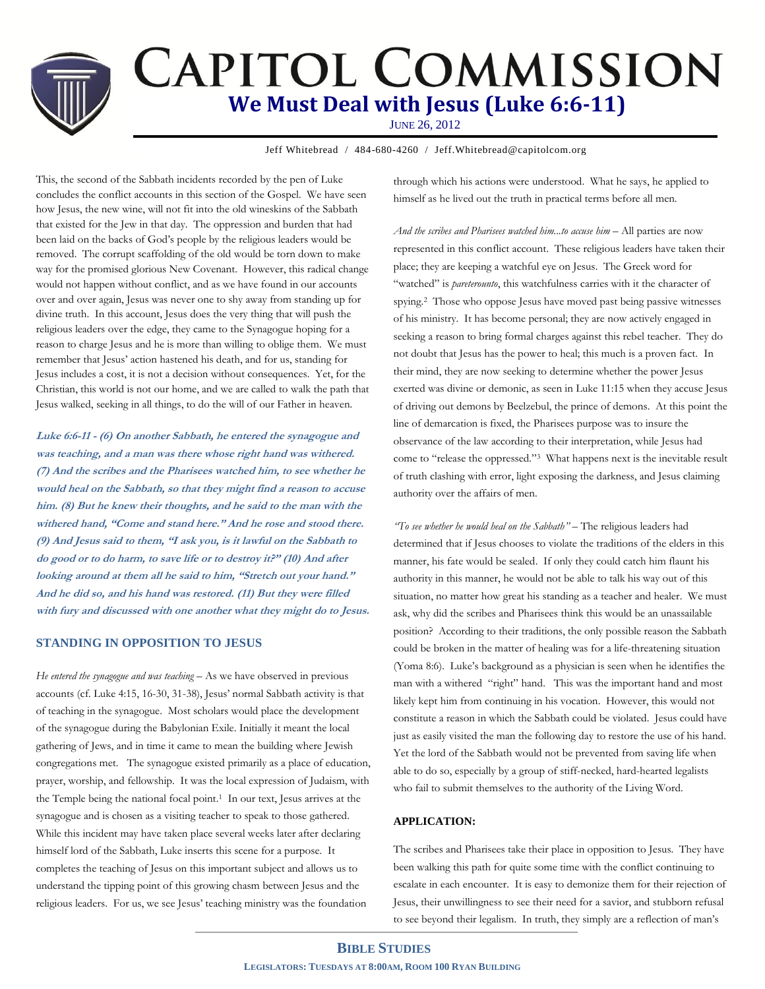# **CAPITOL COMMISSION We Must Deal with Jesus (Luke 6:6-11)** JUNE 26, 2012

Jeff Whitebread / 484-680-4260 / Jeff.Whitebread@capitolcom.org

This, the second of the Sabbath incidents recorded by the pen of Luke concludes the conflict accounts in this section of the Gospel. We have seen how Jesus, the new wine, will not fit into the old wineskins of the Sabbath that existed for the Jew in that day. The oppression and burden that had been laid on the backs of God's people by the religious leaders would be removed. The corrupt scaffolding of the old would be torn down to make way for the promised glorious New Covenant. However, this radical change would not happen without conflict, and as we have found in our accounts over and over again, Jesus was never one to shy away from standing up for divine truth. In this account, Jesus does the very thing that will push the religious leaders over the edge, they came to the Synagogue hoping for a reason to charge Jesus and he is more than willing to oblige them. We must remember that Jesus' action hastened his death, and for us, standing for Jesus includes a cost, it is not a decision without consequences. Yet, for the Christian, this world is not our home, and we are called to walk the path that Jesus walked, seeking in all things, to do the will of our Father in heaven.

**Luke 6:6-11 - (6) On another Sabbath, he entered the synagogue and was teaching, and a man was there whose right hand was withered. (7) And the scribes and the Pharisees watched him, to see whether he would heal on the Sabbath, so that they might find a reason to accuse him. (8) But he knew their thoughts, and he said to the man with the withered hand, "Come and stand here." And he rose and stood there. (9) And Jesus said to them, "I ask you, is it lawful on the Sabbath to do good or to do harm, to save life or to destroy it?" (10) And after looking around at them all he said to him, "Stretch out your hand." And he did so, and his hand was restored. (11) But they were filled with fury and discussed with one another what they might do to Jesus.**

### **STANDING IN OPPOSITION TO JESUS**

*He entered the synagogue and was teaching* – As we have observed in previous accounts (cf. Luke 4:15, 16-30, 31-38), Jesus' normal Sabbath activity is that of teaching in the synagogue. Most scholars would place the development of the synagogue during the Babylonian Exile. Initially it meant the local gathering of Jews, and in time it came to mean the building where Jewish congregations met. The synagogue existed primarily as a place of education, prayer, worship, and fellowship. It was the local expression of Judaism, with the Temple being the national focal point. <sup>1</sup> In our text, Jesus arrives at the synagogue and is chosen as a visiting teacher to speak to those gathered. While this incident may have taken place several weeks later after declaring himself lord of the Sabbath, Luke inserts this scene for a purpose. It completes the teaching of Jesus on this important subject and allows us to understand the tipping point of this growing chasm between Jesus and the religious leaders. For us, we see Jesus' teaching ministry was the foundation

through which his actions were understood. What he says, he applied to himself as he lived out the truth in practical terms before all men.

*And the scribes and Pharisees watched him...to accuse him* – All parties are now represented in this conflict account. These religious leaders have taken their place; they are keeping a watchful eye on Jesus. The Greek word for "watched" is *pareterounto*, this watchfulness carries with it the character of spying.2 Those who oppose Jesus have moved past being passive witnesses of his ministry. It has become personal; they are now actively engaged in seeking a reason to bring formal charges against this rebel teacher. They do not doubt that Jesus has the power to heal; this much is a proven fact. In their mind, they are now seeking to determine whether the power Jesus exerted was divine or demonic, as seen in Luke 11:15 when they accuse Jesus of driving out demons by Beelzebul, the prince of demons. At this point the line of demarcation is fixed, the Pharisees purpose was to insure the observance of the law according to their interpretation, while Jesus had come to "release the oppressed."3 What happens next is the inevitable result of truth clashing with error, light exposing the darkness, and Jesus claiming authority over the affairs of men.

*"To see whether he would heal on the Sabbath"* – The religious leaders had determined that if Jesus chooses to violate the traditions of the elders in this manner, his fate would be sealed. If only they could catch him flaunt his authority in this manner, he would not be able to talk his way out of this situation, no matter how great his standing as a teacher and healer. We must ask, why did the scribes and Pharisees think this would be an unassailable position? According to their traditions, the only possible reason the Sabbath could be broken in the matter of healing was for a life-threatening situation (Yoma 8:6). Luke's background as a physician is seen when he identifies the man with a withered "right" hand. This was the important hand and most likely kept him from continuing in his vocation. However, this would not constitute a reason in which the Sabbath could be violated. Jesus could have just as easily visited the man the following day to restore the use of his hand. Yet the lord of the Sabbath would not be prevented from saving life when able to do so, especially by a group of stiff-necked, hard-hearted legalists who fail to submit themselves to the authority of the Living Word.

## **APPLICATION:**

The scribes and Pharisees take their place in opposition to Jesus. They have been walking this path for quite some time with the conflict continuing to escalate in each encounter. It is easy to demonize them for their rejection of Jesus, their unwillingness to see their need for a savior, and stubborn refusal to see beyond their legalism. In truth, they simply are a reflection of man's